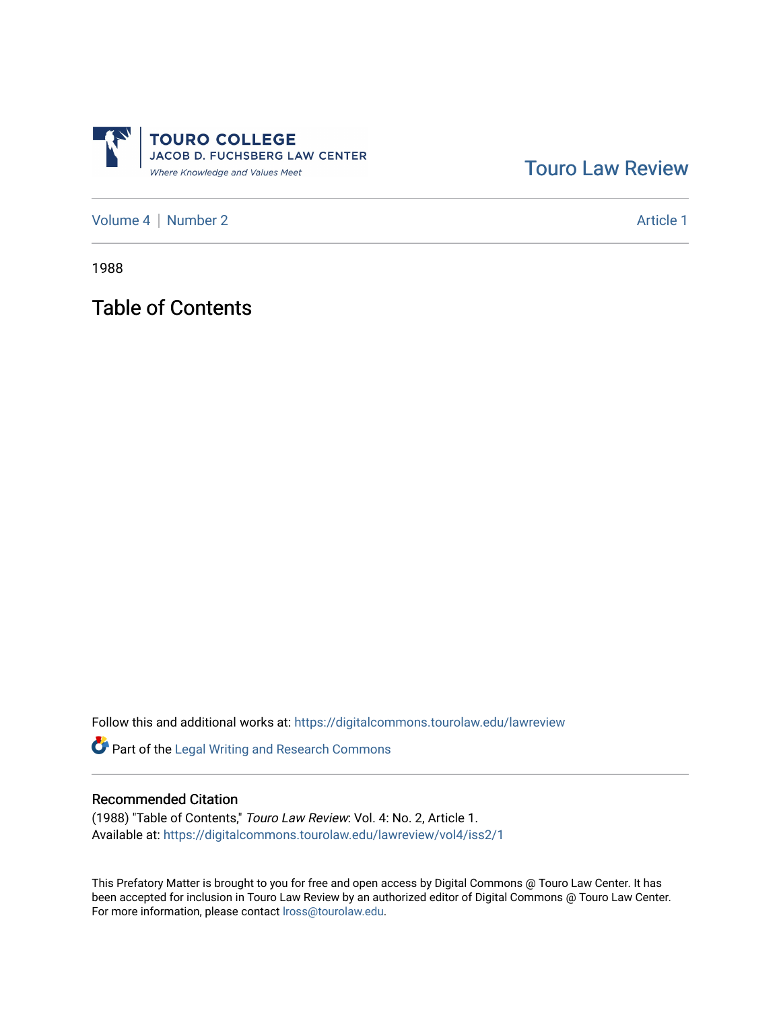

[Touro Law Review](https://digitalcommons.tourolaw.edu/lawreview) 

[Volume 4](https://digitalcommons.tourolaw.edu/lawreview/vol4) | [Number 2](https://digitalcommons.tourolaw.edu/lawreview/vol4/iss2) Article 1

1988

Table of Contents

Follow this and additional works at: [https://digitalcommons.tourolaw.edu/lawreview](https://digitalcommons.tourolaw.edu/lawreview?utm_source=digitalcommons.tourolaw.edu%2Flawreview%2Fvol4%2Fiss2%2F1&utm_medium=PDF&utm_campaign=PDFCoverPages)

Part of the [Legal Writing and Research Commons](http://network.bepress.com/hgg/discipline/614?utm_source=digitalcommons.tourolaw.edu%2Flawreview%2Fvol4%2Fiss2%2F1&utm_medium=PDF&utm_campaign=PDFCoverPages) 

## Recommended Citation

(1988) "Table of Contents," Touro Law Review: Vol. 4: No. 2, Article 1. Available at: [https://digitalcommons.tourolaw.edu/lawreview/vol4/iss2/1](https://digitalcommons.tourolaw.edu/lawreview/vol4/iss2/1?utm_source=digitalcommons.tourolaw.edu%2Flawreview%2Fvol4%2Fiss2%2F1&utm_medium=PDF&utm_campaign=PDFCoverPages)

This Prefatory Matter is brought to you for free and open access by Digital Commons @ Touro Law Center. It has been accepted for inclusion in Touro Law Review by an authorized editor of Digital Commons @ Touro Law Center. For more information, please contact [lross@tourolaw.edu.](mailto:lross@tourolaw.edu)